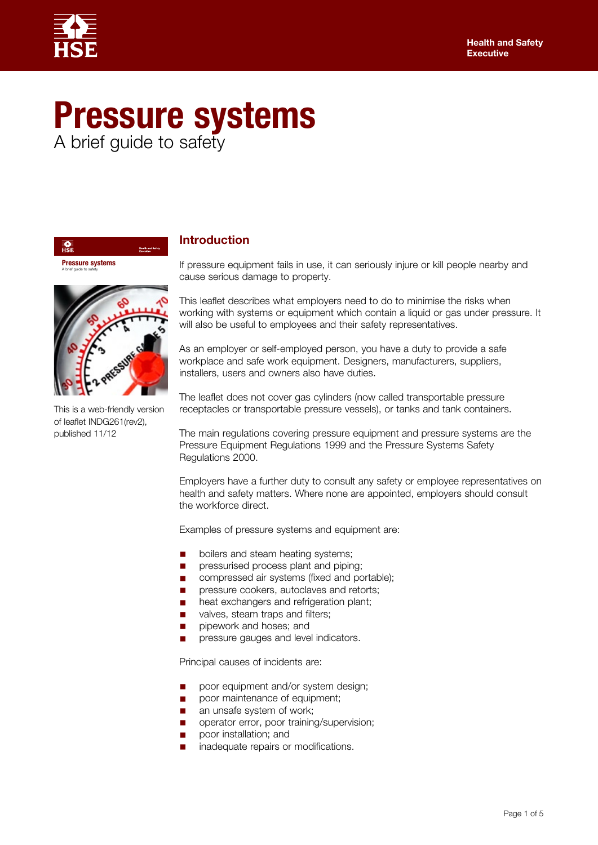

# **Pressure systems** A brief guide to safety

**Pressure systems** A brief guide to safety

靇



This is a web-friendly version of leaflet INDG261(rev2), published 11/12

## **Introduction**

If pressure equipment fails in use, it can seriously injure or kill people nearby and cause serious damage to property.

This leaflet describes what employers need to do to minimise the risks when working with systems or equipment which contain a liquid or gas under pressure. It will also be useful to employees and their safety representatives.

As an employer or self-employed person, you have a duty to provide a safe workplace and safe work equipment. Designers, manufacturers, suppliers, installers, users and owners also have duties.

The leaflet does not cover gas cylinders (now called transportable pressure receptacles or transportable pressure vessels), or tanks and tank containers.

The main regulations covering pressure equipment and pressure systems are the Pressure Equipment Regulations 1999 and the Pressure Systems Safety Regulations 2000.

Employers have a further duty to consult any safety or employee representatives on health and safety matters. Where none are appointed, employers should consult the workforce direct.

Examples of pressure systems and equipment are:

- boilers and steam heating systems;
- pressurised process plant and piping;
- compressed air systems (fixed and portable);
- pressure cookers, autoclaves and retorts;
- heat exchangers and refrigeration plant;
- valves, steam traps and filters;
- pipework and hoses; and
- pressure gauges and level indicators.

Principal causes of incidents are:

- poor equipment and/or system design;
- poor maintenance of equipment;
- an unsafe system of work;
- operator error, poor training/supervision;
- poor installation; and
- inadequate repairs or modifications.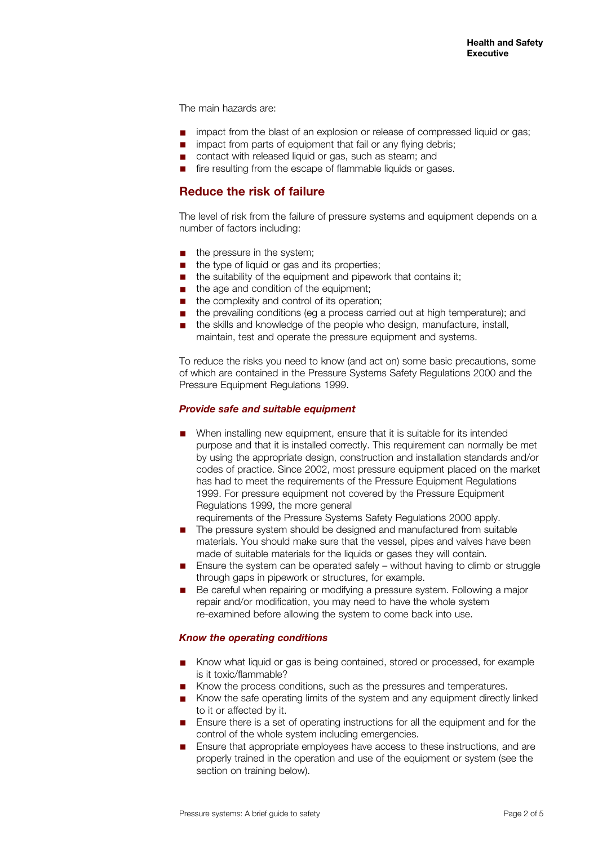The main hazards are:

- impact from the blast of an explosion or release of compressed liquid or gas;<br>■ impact from parts of equipment that fail or any flying debris:
- impact from parts of equipment that fail or any flying debris;
- contact with released liquid or gas, such as steam; and
- fire resulting from the escape of flammable liquids or gases.

## **Reduce the risk of failure**

The level of risk from the failure of pressure systems and equipment depends on a number of factors including:

- the pressure in the system:
- the type of liquid or gas and its properties:
- the suitability of the equipment and pipework that contains it;
- the age and condition of the equipment;
- the complexity and control of its operation;
- the prevailing conditions (eg a process carried out at high temperature); and
- the skills and knowledge of the people who design, manufacture, install, maintain, test and operate the pressure equipment and systems.

To reduce the risks you need to know (and act on) some basic precautions, some of which are contained in the Pressure Systems Safety Regulations 2000 and the Pressure Equipment Regulations 1999.

#### *Provide safe and suitable equipment*

■ When installing new equipment, ensure that it is suitable for its intended purpose and that it is installed correctly. This requirement can normally be met by using the appropriate design, construction and installation standards and/or codes of practice. Since 2002, most pressure equipment placed on the market has had to meet the requirements of the Pressure Equipment Regulations 1999. For pressure equipment not covered by the Pressure Equipment Regulations 1999, the more general

requirements of the Pressure Systems Safety Regulations 2000 apply.

- The pressure system should be designed and manufactured from suitable materials. You should make sure that the vessel, pipes and valves have been made of suitable materials for the liquids or gases they will contain.
- Ensure the system can be operated safely without having to climb or struggle through gaps in pipework or structures, for example.
- Be careful when repairing or modifying a pressure system. Following a major repair and/or modification, you may need to have the whole system re-examined before allowing the system to come back into use.

#### *Know the operating conditions*

- Know what liquid or gas is being contained, stored or processed, for example is it toxic/flammable?
- Know the process conditions, such as the pressures and temperatures.
- Know the safe operating limits of the system and any equipment directly linked to it or affected by it.
- Ensure there is a set of operating instructions for all the equipment and for the control of the whole system including emergencies.
- Ensure that appropriate employees have access to these instructions, and are properly trained in the operation and use of the equipment or system (see the section on training below).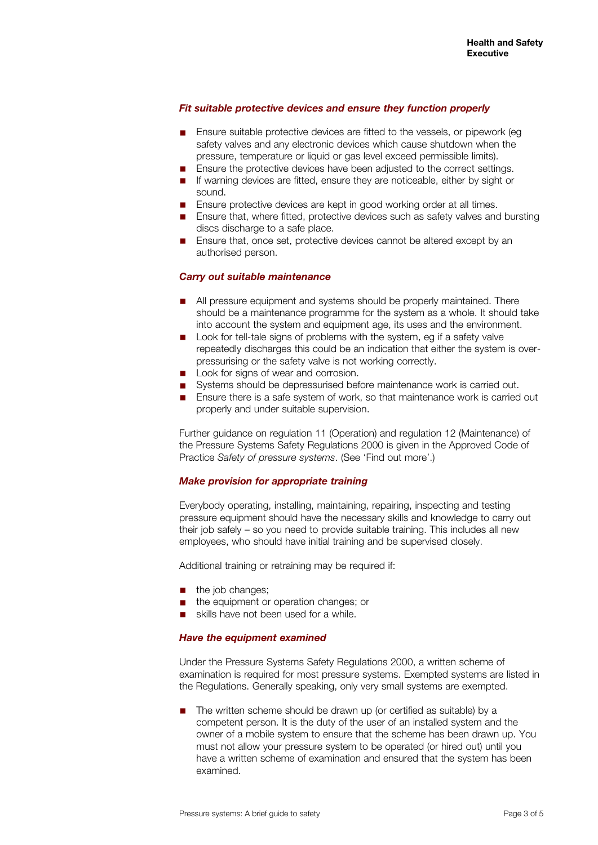#### *Fit suitable protective devices and ensure they function properly*

- Ensure suitable protective devices are fitted to the vessels, or pipework (eq. safety valves and any electronic devices which cause shutdown when the pressure, temperature or liquid or gas level exceed permissible limits).
- Ensure the protective devices have been adjusted to the correct settings.
- If warning devices are fitted, ensure they are noticeable, either by sight or sound.
- Ensure protective devices are kept in good working order at all times.
- Ensure that, where fitted, protective devices such as safety valves and bursting discs discharge to a safe place.
- Ensure that, once set, protective devices cannot be altered except by an authorised person.

## *Carry out suitable maintenance*

- All pressure equipment and systems should be properly maintained. There should be a maintenance programme for the system as a whole. It should take into account the system and equipment age, its uses and the environment.
- Look for tell-tale signs of problems with the system, eg if a safety valve repeatedly discharges this could be an indication that either the system is overpressurising or the safety valve is not working correctly.
- Look for signs of wear and corrosion.
- Systems should be depressurised before maintenance work is carried out.
- Ensure there is a safe system of work, so that maintenance work is carried out properly and under suitable supervision.

Further guidance on regulation 11 (Operation) and regulation 12 (Maintenance) of the Pressure Systems Safety Regulations 2000 is given in the Approved Code of Practice *Safety of pressure systems*. (See 'Find out more'.)

#### *Make provision for appropriate training*

Everybody operating, installing, maintaining, repairing, inspecting and testing pressure equipment should have the necessary skills and knowledge to carry out their job safely – so you need to provide suitable training. This includes all new employees, who should have initial training and be supervised closely.

Additional training or retraining may be required if:

- the job changes;
- the equipment or operation changes; or
- skills have not been used for a while.

#### *Have the equipment examined*

Under the Pressure Systems Safety Regulations 2000, a written scheme of examination is required for most pressure systems. Exempted systems are listed in the Regulations. Generally speaking, only very small systems are exempted.

The written scheme should be drawn up (or certified as suitable) by a competent person. It is the duty of the user of an installed system and the owner of a mobile system to ensure that the scheme has been drawn up. You must not allow your pressure system to be operated (or hired out) until you have a written scheme of examination and ensured that the system has been examined.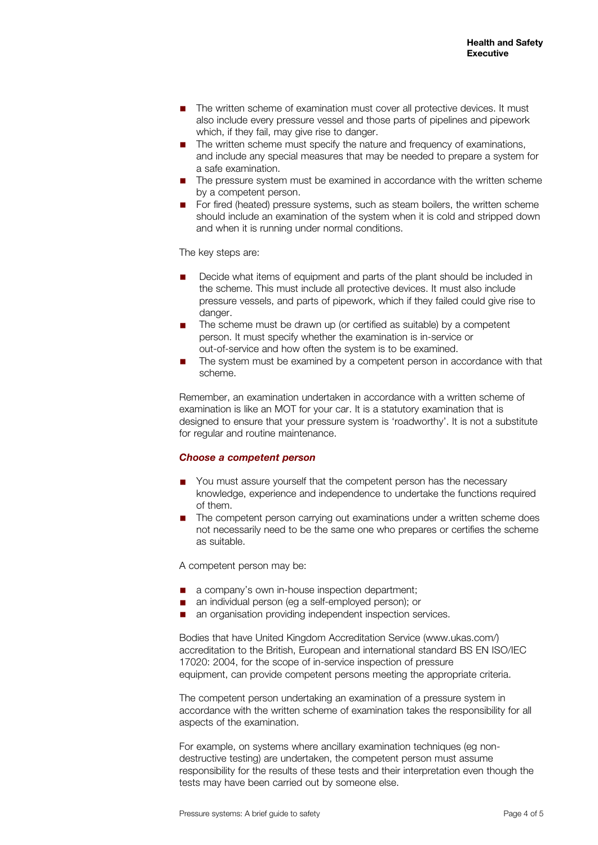- The written scheme of examination must cover all protective devices. It must also include every pressure vessel and those parts of pipelines and pipework which, if they fail, may give rise to danger.
- The written scheme must specify the nature and frequency of examinations, and include any special measures that may be needed to prepare a system for a safe examination.
- The pressure system must be examined in accordance with the written scheme by a competent person.
- For fired (heated) pressure systems, such as steam boilers, the written scheme should include an examination of the system when it is cold and stripped down and when it is running under normal conditions.

The key steps are:

- Decide what items of equipment and parts of the plant should be included in the scheme. This must include all protective devices. It must also include pressure vessels, and parts of pipework, which if they failed could give rise to danger.
- The scheme must be drawn up (or certified as suitable) by a competent person. It must specify whether the examination is in-service or out-of-service and how often the system is to be examined.
- The system must be examined by a competent person in accordance with that scheme.

Remember, an examination undertaken in accordance with a written scheme of examination is like an MOT for your car. It is a statutory examination that is designed to ensure that your pressure system is 'roadworthy'. It is not a substitute for regular and routine maintenance.

#### *Choose a competent person*

- You must assure yourself that the competent person has the necessary knowledge, experience and independence to undertake the functions required of them.
- The competent person carrying out examinations under a written scheme does not necessarily need to be the same one who prepares or certifies the scheme as suitable.

A competent person may be:

- a company's own in-house inspection department;
- an individual person (eg a self-employed person); or
- an organisation providing independent inspection services.

Bodies that have United Kingdom Accreditation Service ([www.ukas.com/](http://www.ukas.com/)) accreditation to the British, European and international standard BS EN ISO/IEC 17020: 2004, for the scope of in-service inspection of pressure equipment, can provide competent persons meeting the appropriate criteria.

The competent person undertaking an examination of a pressure system in accordance with the written scheme of examination takes the responsibility for all aspects of the examination.

For example, on systems where ancillary examination techniques (eg nondestructive testing) are undertaken, the competent person must assume responsibility for the results of these tests and their interpretation even though the tests may have been carried out by someone else.